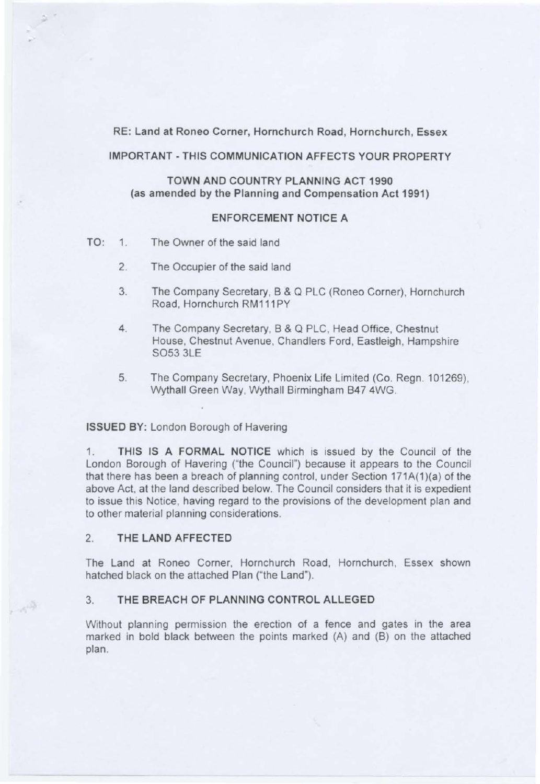RE: Land at Roneo Corner, Hornchurch Road, Hornchurch, Essex

## IMPORTANT - THIS COMMUNICATION AFFECTS YOUR PROPERTY

# TOWN AND COUNTRY PLANNING ACT 1990 (as amended by the Planning and Compensation Act 1991)

# ENFORCEMENT NOTICE A

- TO: 1. The Owner of the said land
	- 2. The Occupier of the said land
	- 3. The Company Secretary, B & Q PLC (Roneo Corner), Hornchurch Road, Hornchurch RM111 PY
	- 4. The Company Secretary, B & Q PLC, Head Office, Chestnut House, Chestnut Avenue, Chandlers Ford, Eastleigh, Hampshire S053 3LE
	- 5. The Company Secretary, Phoenix Life Limited (Co. Regn. 101269), Wythall Green Way, Wythall Birmingham 847 4WG.

#### ISSUED BY: London Borough of Havering

1. THIS IS A FORMAL NOTICE which is issued by the Council of the London Borough of Havering ("the Council") because it appears to the Council that there has been a breach of planning control, under Section 171A(1)(a) of the above Act, at the land described below. The Council considers that it is expedient to issue this Notice, having regard to the provisions of the development plan and to other material planning considerations.

## 2. THE LAND AFFECTED

 $\sim 10$ 

The Land at Roneo Corner, Hornchurch Road, Hornchurch, Essex shown hatched black on the attached Plan ("the Land").

### 3. THE BREACH OF PLANNING CONTROL ALLEGED

Without planning permission the erection of a fence and gates in the area marked in bold black between the points marked (A) and (B) on the attached plan.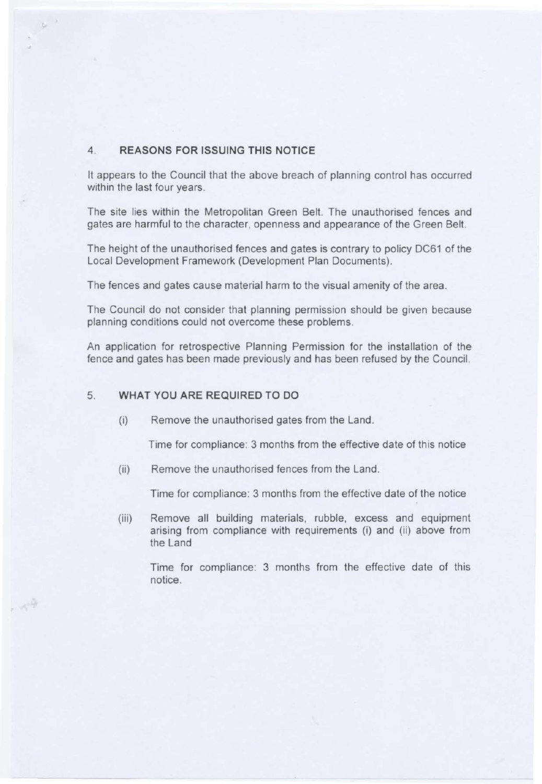## 4. REASONS FOR ISSUING THIS NOTICE

 $\sim$   $^{\circ}$ 

一个学

It appears to the Council that the above breach of planning control has occurred within the last four years.

The site lies within the Metropolitan Green Belt. The unauthorised fences and gates are harmful to the character, openness and appearance of the Green Belt.

The height of the unauthorised fences and gates is contrary to policy DC61 of the Local Development Framework (Development Plan Documents).

The fences and gates cause material harm to the visual amenity of the area.

The Council do not consider that planning permission should be given because planning conditions could not overcome these problems.

An application for retrospective Planning Permission for the installation of the fence and gates has been made previously and has been refused by the Council.

## 5. WHAT YOU ARE REQUIRED TO DO

(i) Remove the unauthorised gates from the Land.

Time for compliance: 3 months from the effective date of this notice

(ii) Remove the unauthorised fences from the Land.

Time for compliance: 3 months from the effective date of the notice

(iii) Remove all building materials, rubble, excess and equipment arising from compliance with requirements (i) and (ii) above from the Land

Time for compliance: 3 months from the effective date of this notice.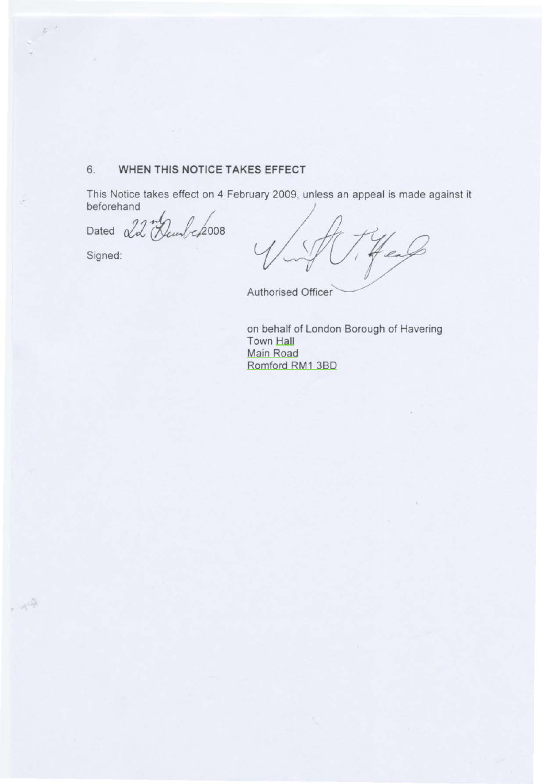# 6. **WHEN THIS NOTICE TAKES EFFECT**

This Notice takes effect on 4 February 2009, unless an appeal is made against it beforehand

Dated 22 *Deunbe* 2008

Signed:

 $\mu^{-\mu}$ 

 $\sim 10$ 

en

Authorised Officer

on behalf of London Borough of Havering Town Hall Main Road Romford RM1 380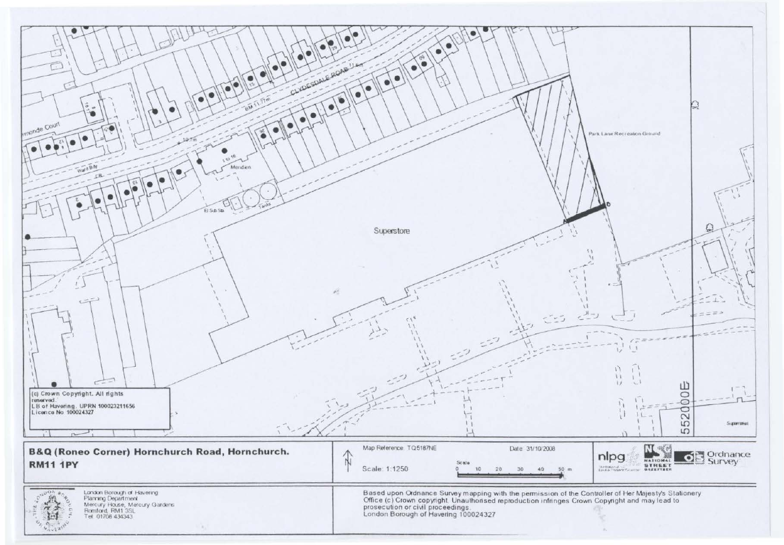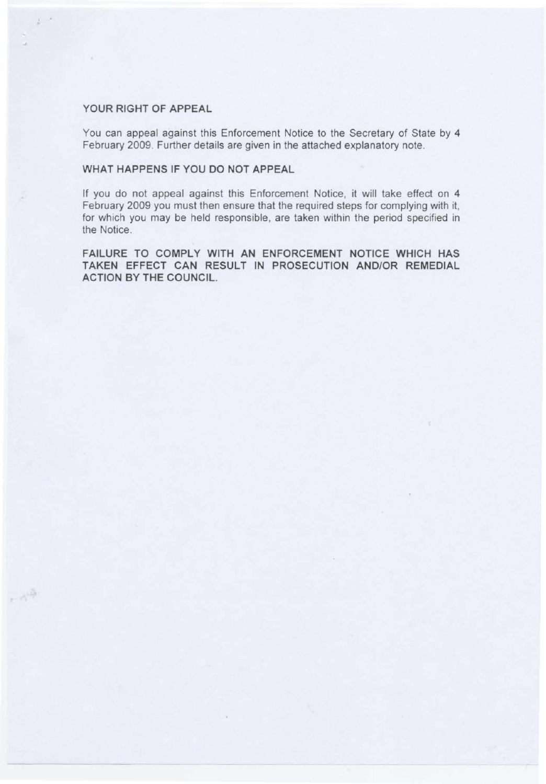## YOUR RIGHT OF APPEAL

 $\phi^{-1}$ 

 $\sim \gamma^{1/2}$ 

You can appeal against this Enforcement Notice to the Secretary of State by 4 February 2009. Further details are given in the attached explanatory note.

## WHAT HAPPENS IF YOU DO NOT APPEAL

If you do not appeal against this Enforcement Notice, it will take effect on 4 February 2009 you must then ensure that the required steps for complying with it, for which you may be held responsible, are taken within the period specified in the Notice.

FAILURE TO COMPLY WITH AN ENFORCEMENT NOTICE WHICH HAS TAKEN EFFECT CAN RESULT IN PROSECUTION AND/OR REMEDIAL ACTION BY THE COUNCIL.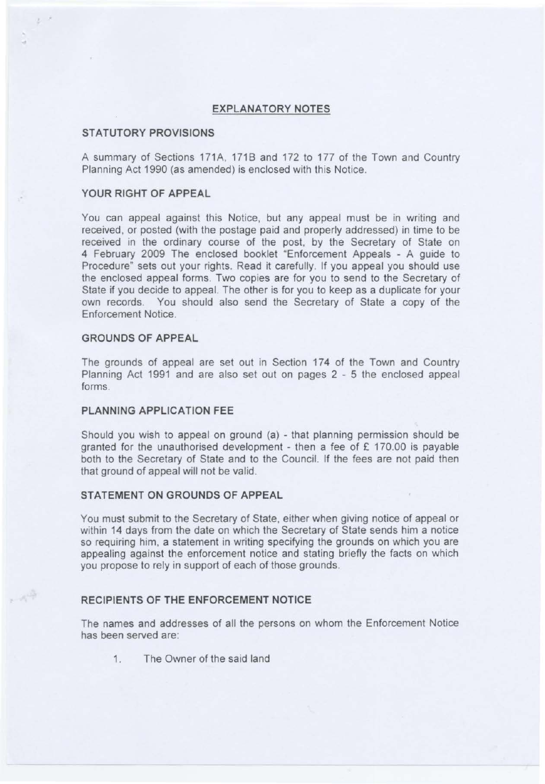#### **EXPLANATORY NOTES**

#### **STATUTORY PROVISIONS**

A summary of Sections 171A, 171B and 172 to 177 of the Town and Country Planning Act 1990 (as amended) is enclosed with this Notice.

# **YOUR RIGHT OF APPEAL**

You can appeal against this Notice, but any appeal must be in writing and received, or posted (with the postage paid and properly addressed) in time to be received in the ordinary course of the post, by the Secretary of State on 4 February 2009 The enclosed booklet "Enforcement Appeals - A guide to Procedure" sets out your rights. Read it carefully. If you appeal you should use the enclosed appeal forms. Two copies are for you to send to the Secretary of State if you decide to appeal. The other is for you to keep as a duplicate for your own records. You should also send the Secretary of State a copy of the Enforcement Notice.

#### **GROUNDS OF APPEAL**

 $A^{\frac{m}{2}}$ 

The grounds of appeal are set out in Section 174 of the Town and Country Planning Act 1991 and are also set out on pages 2 - 5 the enclosed appeal forms.

#### **PLANNING APPLICATION FEE**

Should you wish to appeal on ground (a) - that planning permission should be granted for the unauthorised development - then a fee of  $E$  170.00 is payable both to the Secretary of State and to the Council. If the fees are not paid then that ground of appeal will not be valid.

## **STATEMENT ON GROUNDS OF APPEAL**

You must submit to the Secretary of State, either when giving notice of appeal or within 14 days from the date on which the Secretary of State sends him a notice so requiring him, a statement in writing specifying the grounds on which you are appealing against the enforcement notice and stating briefly the facts on which you propose to rely in support of each of those grounds.

#### **RECIPIENTS OF THE ENFORCEMENT NOTICE**

The names and addresses of all the persons on whom the Enforcement Notice has been served are:

1. The Owner of the said land